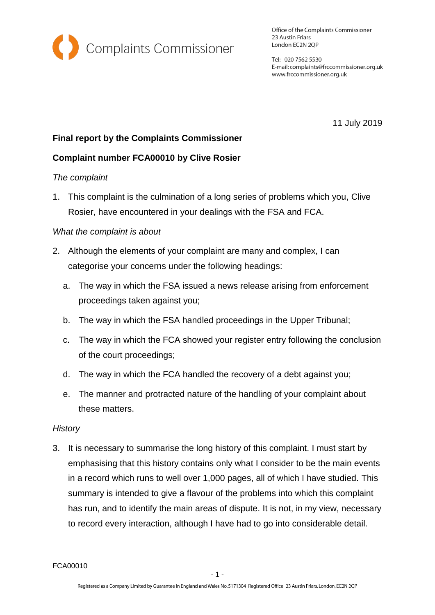

Office of the Complaints Commissioner 23 Austin Friars London EC2N 2QP

Tel: 020 7562 5530 E-mail: complaints@frccommissioner.org.uk www.frccommissioner.org.uk

11 July 2019

# **Final report by the Complaints Commissioner**

# **Complaint number FCA00010 by Clive Rosier**

### *The complaint*

1. This complaint is the culmination of a long series of problems which you, Clive Rosier, have encountered in your dealings with the FSA and FCA.

### *What the complaint is about*

- 2. Although the elements of your complaint are many and complex, I can categorise your concerns under the following headings:
	- a. The way in which the FSA issued a news release arising from enforcement proceedings taken against you;
	- b. The way in which the FSA handled proceedings in the Upper Tribunal;
	- c. The way in which the FCA showed your register entry following the conclusion of the court proceedings;
	- d. The way in which the FCA handled the recovery of a debt against you;
	- e. The manner and protracted nature of the handling of your complaint about these matters.

### *History*

3. It is necessary to summarise the long history of this complaint. I must start by emphasising that this history contains only what I consider to be the main events in a record which runs to well over 1,000 pages, all of which I have studied. This summary is intended to give a flavour of the problems into which this complaint has run, and to identify the main areas of dispute. It is not, in my view, necessary to record every interaction, although I have had to go into considerable detail.

FCA00010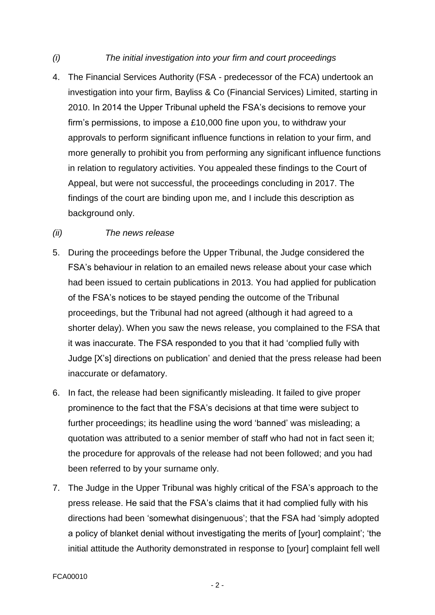### *(i) The initial investigation into your firm and court proceedings*

4. The Financial Services Authority (FSA - predecessor of the FCA) undertook an investigation into your firm, Bayliss & Co (Financial Services) Limited, starting in 2010. In 2014 the Upper Tribunal upheld the FSA's decisions to remove your firm's permissions, to impose a £10,000 fine upon you, to withdraw your approvals to perform significant influence functions in relation to your firm, and more generally to prohibit you from performing any significant influence functions in relation to regulatory activities. You appealed these findings to the Court of Appeal, but were not successful, the proceedings concluding in 2017. The findings of the court are binding upon me, and I include this description as background only.

### *(ii) The news release*

- 5. During the proceedings before the Upper Tribunal, the Judge considered the FSA's behaviour in relation to an emailed news release about your case which had been issued to certain publications in 2013. You had applied for publication of the FSA's notices to be stayed pending the outcome of the Tribunal proceedings, but the Tribunal had not agreed (although it had agreed to a shorter delay). When you saw the news release, you complained to the FSA that it was inaccurate. The FSA responded to you that it had 'complied fully with Judge [X's] directions on publication' and denied that the press release had been inaccurate or defamatory.
- 6. In fact, the release had been significantly misleading. It failed to give proper prominence to the fact that the FSA's decisions at that time were subject to further proceedings; its headline using the word 'banned' was misleading; a quotation was attributed to a senior member of staff who had not in fact seen it; the procedure for approvals of the release had not been followed; and you had been referred to by your surname only.
- 7. The Judge in the Upper Tribunal was highly critical of the FSA's approach to the press release. He said that the FSA's claims that it had complied fully with his directions had been 'somewhat disingenuous'; that the FSA had 'simply adopted a policy of blanket denial without investigating the merits of [your] complaint'; 'the initial attitude the Authority demonstrated in response to [your] complaint fell well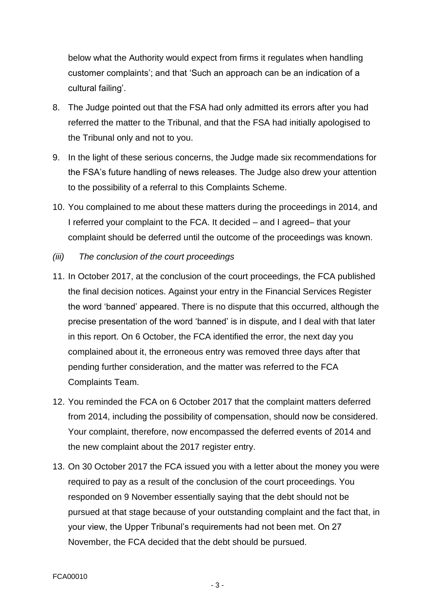below what the Authority would expect from firms it regulates when handling customer complaints'; and that 'Such an approach can be an indication of a cultural failing'.

- 8. The Judge pointed out that the FSA had only admitted its errors after you had referred the matter to the Tribunal, and that the FSA had initially apologised to the Tribunal only and not to you.
- 9. In the light of these serious concerns, the Judge made six recommendations for the FSA's future handling of news releases. The Judge also drew your attention to the possibility of a referral to this Complaints Scheme.
- 10. You complained to me about these matters during the proceedings in 2014, and I referred your complaint to the FCA. It decided – and I agreed– that your complaint should be deferred until the outcome of the proceedings was known.
- *(iii) The conclusion of the court proceedings*
- 11. In October 2017, at the conclusion of the court proceedings, the FCA published the final decision notices. Against your entry in the Financial Services Register the word 'banned' appeared. There is no dispute that this occurred, although the precise presentation of the word 'banned' is in dispute, and I deal with that later in this report. On 6 October, the FCA identified the error, the next day you complained about it, the erroneous entry was removed three days after that pending further consideration, and the matter was referred to the FCA Complaints Team.
- 12. You reminded the FCA on 6 October 2017 that the complaint matters deferred from 2014, including the possibility of compensation, should now be considered. Your complaint, therefore, now encompassed the deferred events of 2014 and the new complaint about the 2017 register entry.
- 13. On 30 October 2017 the FCA issued you with a letter about the money you were required to pay as a result of the conclusion of the court proceedings. You responded on 9 November essentially saying that the debt should not be pursued at that stage because of your outstanding complaint and the fact that, in your view, the Upper Tribunal's requirements had not been met. On 27 November, the FCA decided that the debt should be pursued.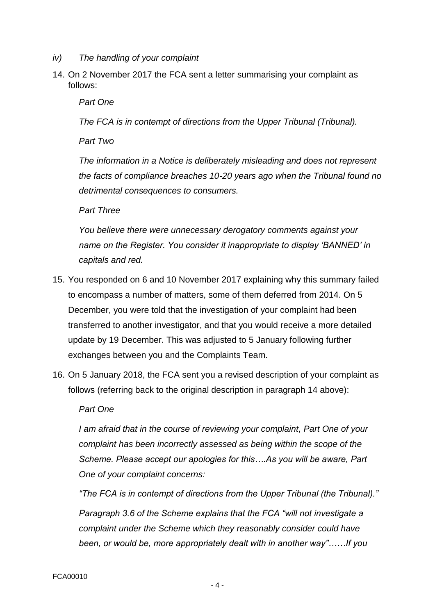- *iv) The handling of your complaint*
- 14. On 2 November 2017 the FCA sent a letter summarising your complaint as follows:

*Part One* 

*The FCA is in contempt of directions from the Upper Tribunal (Tribunal).* 

*Part Two* 

*The information in a Notice is deliberately misleading and does not represent the facts of compliance breaches 10-20 years ago when the Tribunal found no detrimental consequences to consumers.* 

*Part Three* 

*You believe there were unnecessary derogatory comments against your name on the Register. You consider it inappropriate to display 'BANNED' in capitals and red.*

- 15. You responded on 6 and 10 November 2017 explaining why this summary failed to encompass a number of matters, some of them deferred from 2014. On 5 December, you were told that the investigation of your complaint had been transferred to another investigator, and that you would receive a more detailed update by 19 December. This was adjusted to 5 January following further exchanges between you and the Complaints Team.
- 16. On 5 January 2018, the FCA sent you a revised description of your complaint as follows (referring back to the original description in paragraph 14 above):

### *Part One*

*I am afraid that in the course of reviewing your complaint, Part One of your complaint has been incorrectly assessed as being within the scope of the Scheme. Please accept our apologies for this….As you will be aware, Part One of your complaint concerns:*

*"The FCA is in contempt of directions from the Upper Tribunal (the Tribunal)."*

*Paragraph 3.6 of the Scheme explains that the FCA "will not investigate a complaint under the Scheme which they reasonably consider could have been, or would be, more appropriately dealt with in another way"……If you*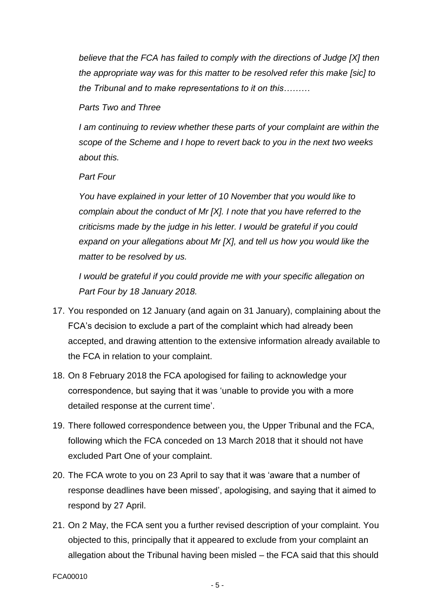*believe that the FCA has failed to comply with the directions of Judge [X] then the appropriate way was for this matter to be resolved refer this make [sic] to the Tribunal and to make representations to it on this………*

### *Parts Two and Three*

*I* am continuing to review whether these parts of your complaint are within the *scope of the Scheme and I hope to revert back to you in the next two weeks about this.*

### *Part Four*

*You have explained in your letter of 10 November that you would like to complain about the conduct of Mr [X]. I note that you have referred to the criticisms made by the judge in his letter. I would be grateful if you could expand on your allegations about Mr [X], and tell us how you would like the matter to be resolved by us.*

*I would be grateful if you could provide me with your specific allegation on Part Four by 18 January 2018.*

- 17. You responded on 12 January (and again on 31 January), complaining about the FCA's decision to exclude a part of the complaint which had already been accepted, and drawing attention to the extensive information already available to the FCA in relation to your complaint.
- 18. On 8 February 2018 the FCA apologised for failing to acknowledge your correspondence, but saying that it was 'unable to provide you with a more detailed response at the current time'.
- 19. There followed correspondence between you, the Upper Tribunal and the FCA, following which the FCA conceded on 13 March 2018 that it should not have excluded Part One of your complaint.
- 20. The FCA wrote to you on 23 April to say that it was 'aware that a number of response deadlines have been missed', apologising, and saying that it aimed to respond by 27 April.
- 21. On 2 May, the FCA sent you a further revised description of your complaint. You objected to this, principally that it appeared to exclude from your complaint an allegation about the Tribunal having been misled – the FCA said that this should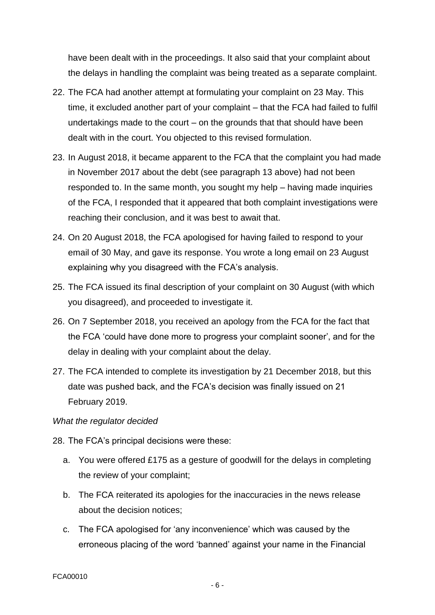have been dealt with in the proceedings. It also said that your complaint about the delays in handling the complaint was being treated as a separate complaint.

- 22. The FCA had another attempt at formulating your complaint on 23 May. This time, it excluded another part of your complaint – that the FCA had failed to fulfil undertakings made to the court – on the grounds that that should have been dealt with in the court. You objected to this revised formulation.
- 23. In August 2018, it became apparent to the FCA that the complaint you had made in November 2017 about the debt (see paragraph 13 above) had not been responded to. In the same month, you sought my help – having made inquiries of the FCA, I responded that it appeared that both complaint investigations were reaching their conclusion, and it was best to await that.
- 24. On 20 August 2018, the FCA apologised for having failed to respond to your email of 30 May, and gave its response. You wrote a long email on 23 August explaining why you disagreed with the FCA's analysis.
- 25. The FCA issued its final description of your complaint on 30 August (with which you disagreed), and proceeded to investigate it.
- 26. On 7 September 2018, you received an apology from the FCA for the fact that the FCA 'could have done more to progress your complaint sooner', and for the delay in dealing with your complaint about the delay.
- 27. The FCA intended to complete its investigation by 21 December 2018, but this date was pushed back, and the FCA's decision was finally issued on 21 February 2019.

### *What the regulator decided*

28. The FCA's principal decisions were these:

- a. You were offered £175 as a gesture of goodwill for the delays in completing the review of your complaint;
- b. The FCA reiterated its apologies for the inaccuracies in the news release about the decision notices;
- c. The FCA apologised for 'any inconvenience' which was caused by the erroneous placing of the word 'banned' against your name in the Financial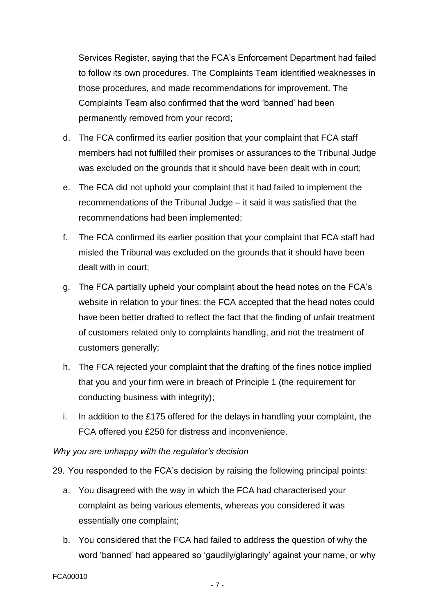Services Register, saying that the FCA's Enforcement Department had failed to follow its own procedures. The Complaints Team identified weaknesses in those procedures, and made recommendations for improvement. The Complaints Team also confirmed that the word 'banned' had been permanently removed from your record;

- d. The FCA confirmed its earlier position that your complaint that FCA staff members had not fulfilled their promises or assurances to the Tribunal Judge was excluded on the grounds that it should have been dealt with in court;
- e. The FCA did not uphold your complaint that it had failed to implement the recommendations of the Tribunal Judge – it said it was satisfied that the recommendations had been implemented;
- f. The FCA confirmed its earlier position that your complaint that FCA staff had misled the Tribunal was excluded on the grounds that it should have been dealt with in court;
- g. The FCA partially upheld your complaint about the head notes on the FCA's website in relation to your fines: the FCA accepted that the head notes could have been better drafted to reflect the fact that the finding of unfair treatment of customers related only to complaints handling, and not the treatment of customers generally;
- h. The FCA rejected your complaint that the drafting of the fines notice implied that you and your firm were in breach of Principle 1 (the requirement for conducting business with integrity);
- i. In addition to the £175 offered for the delays in handling your complaint, the FCA offered you £250 for distress and inconvenience.

# *Why you are unhappy with the regulator's decision*

29. You responded to the FCA's decision by raising the following principal points:

- a. You disagreed with the way in which the FCA had characterised your complaint as being various elements, whereas you considered it was essentially one complaint;
- b. You considered that the FCA had failed to address the question of why the word 'banned' had appeared so 'gaudily/glaringly' against your name, or why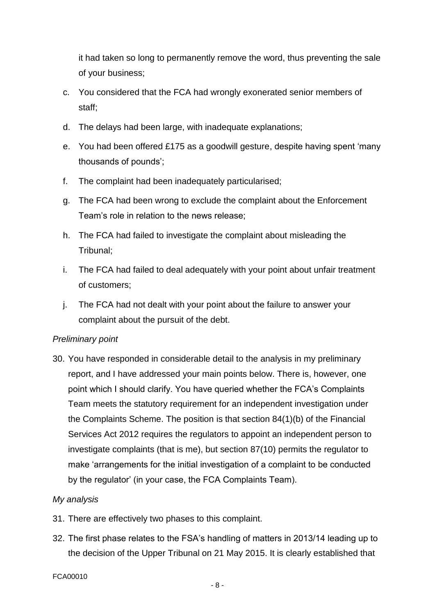it had taken so long to permanently remove the word, thus preventing the sale of your business;

- c. You considered that the FCA had wrongly exonerated senior members of staff;
- d. The delays had been large, with inadequate explanations;
- e. You had been offered £175 as a goodwill gesture, despite having spent 'many thousands of pounds';
- f. The complaint had been inadequately particularised;
- g. The FCA had been wrong to exclude the complaint about the Enforcement Team's role in relation to the news release;
- h. The FCA had failed to investigate the complaint about misleading the Tribunal;
- i. The FCA had failed to deal adequately with your point about unfair treatment of customers;
- j. The FCA had not dealt with your point about the failure to answer your complaint about the pursuit of the debt.

# *Preliminary point*

30. You have responded in considerable detail to the analysis in my preliminary report, and I have addressed your main points below. There is, however, one point which I should clarify. You have queried whether the FCA's Complaints Team meets the statutory requirement for an independent investigation under the Complaints Scheme. The position is that section 84(1)(b) of the Financial Services Act 2012 requires the regulators to appoint an independent person to investigate complaints (that is me), but section 87(10) permits the regulator to make 'arrangements for the initial investigation of a complaint to be conducted by the regulator' (in your case, the FCA Complaints Team).

# *My analysis*

- 31. There are effectively two phases to this complaint.
- 32. The first phase relates to the FSA's handling of matters in 2013/14 leading up to the decision of the Upper Tribunal on 21 May 2015. It is clearly established that

#### FCA00010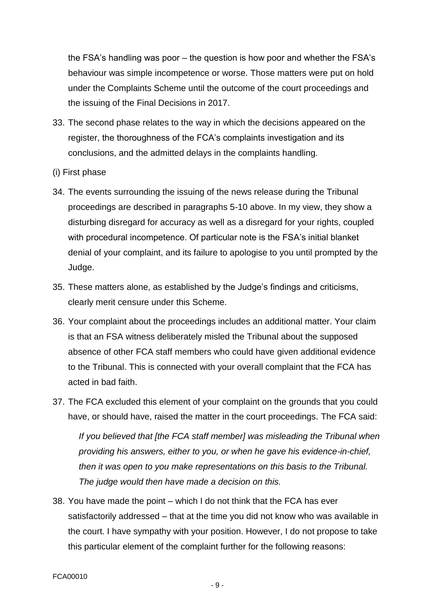the FSA's handling was poor – the question is how poor and whether the FSA's behaviour was simple incompetence or worse. Those matters were put on hold under the Complaints Scheme until the outcome of the court proceedings and the issuing of the Final Decisions in 2017.

- 33. The second phase relates to the way in which the decisions appeared on the register, the thoroughness of the FCA's complaints investigation and its conclusions, and the admitted delays in the complaints handling.
- (i) First phase
- 34. The events surrounding the issuing of the news release during the Tribunal proceedings are described in paragraphs 5-10 above. In my view, they show a disturbing disregard for accuracy as well as a disregard for your rights, coupled with procedural incompetence. Of particular note is the FSA's initial blanket denial of your complaint, and its failure to apologise to you until prompted by the Judge.
- 35. These matters alone, as established by the Judge's findings and criticisms, clearly merit censure under this Scheme.
- 36. Your complaint about the proceedings includes an additional matter. Your claim is that an FSA witness deliberately misled the Tribunal about the supposed absence of other FCA staff members who could have given additional evidence to the Tribunal. This is connected with your overall complaint that the FCA has acted in bad faith.
- 37. The FCA excluded this element of your complaint on the grounds that you could have, or should have, raised the matter in the court proceedings. The FCA said:

*If you believed that [the FCA staff member] was misleading the Tribunal when providing his answers, either to you, or when he gave his evidence-in-chief, then it was open to you make representations on this basis to the Tribunal. The judge would then have made a decision on this.* 

38. You have made the point – which I do not think that the FCA has ever satisfactorily addressed – that at the time you did not know who was available in the court. I have sympathy with your position. However, I do not propose to take this particular element of the complaint further for the following reasons: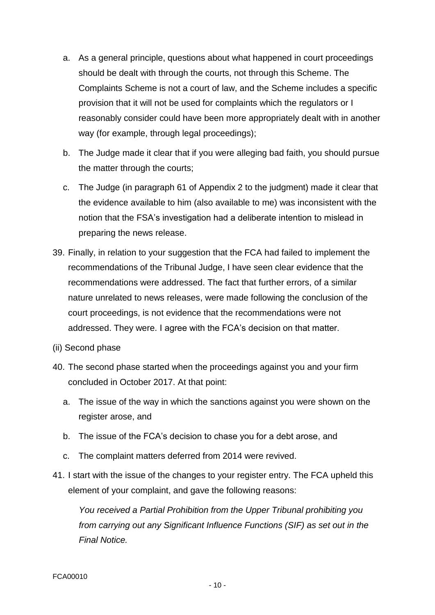- a. As a general principle, questions about what happened in court proceedings should be dealt with through the courts, not through this Scheme. The Complaints Scheme is not a court of law, and the Scheme includes a specific provision that it will not be used for complaints which the regulators or I reasonably consider could have been more appropriately dealt with in another way (for example, through legal proceedings);
- b. The Judge made it clear that if you were alleging bad faith, you should pursue the matter through the courts;
- c. The Judge (in paragraph 61 of Appendix 2 to the judgment) made it clear that the evidence available to him (also available to me) was inconsistent with the notion that the FSA's investigation had a deliberate intention to mislead in preparing the news release.
- 39. Finally, in relation to your suggestion that the FCA had failed to implement the recommendations of the Tribunal Judge, I have seen clear evidence that the recommendations were addressed. The fact that further errors, of a similar nature unrelated to news releases, were made following the conclusion of the court proceedings, is not evidence that the recommendations were not addressed. They were. I agree with the FCA's decision on that matter.
- (ii) Second phase
- 40. The second phase started when the proceedings against you and your firm concluded in October 2017. At that point:
	- a. The issue of the way in which the sanctions against you were shown on the register arose, and
	- b. The issue of the FCA's decision to chase you for a debt arose, and
	- c. The complaint matters deferred from 2014 were revived.
- 41. I start with the issue of the changes to your register entry. The FCA upheld this element of your complaint, and gave the following reasons:

*You received a Partial Prohibition from the Upper Tribunal prohibiting you from carrying out any Significant Influence Functions (SIF) as set out in the Final Notice.*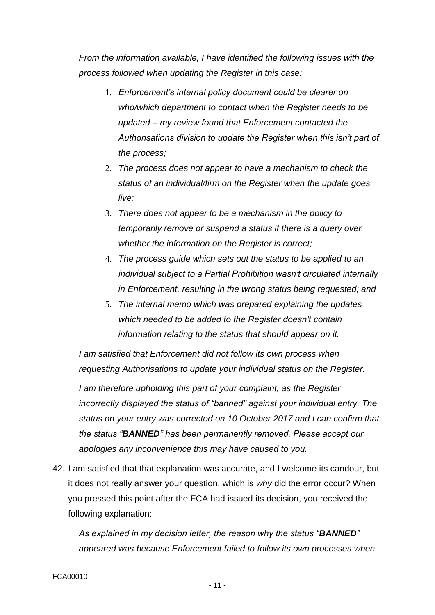*From the information available, I have identified the following issues with the process followed when updating the Register in this case:* 

- 1. *Enforcement's internal policy document could be clearer on who/which department to contact when the Register needs to be updated – my review found that Enforcement contacted the Authorisations division to update the Register when this isn't part of the process;*
- 2. *The process does not appear to have a mechanism to check the status of an individual/firm on the Register when the update goes live;*
- 3. *There does not appear to be a mechanism in the policy to temporarily remove or suspend a status if there is a query over whether the information on the Register is correct;*
- 4. *The process guide which sets out the status to be applied to an individual subject to a Partial Prohibition wasn't circulated internally in Enforcement, resulting in the wrong status being requested; and*
- 5. *The internal memo which was prepared explaining the updates which needed to be added to the Register doesn't contain information relating to the status that should appear on it.*

*I am satisfied that Enforcement did not follow its own process when requesting Authorisations to update your individual status on the Register.* 

*I am therefore upholding this part of your complaint, as the Register incorrectly displayed the status of "banned" against your individual entry. The status on your entry was corrected on 10 October 2017 and I can confirm that the status "BANNED" has been permanently removed. Please accept our apologies any inconvenience this may have caused to you.*

42. I am satisfied that that explanation was accurate, and I welcome its candour, but it does not really answer your question, which is *why* did the error occur? When you pressed this point after the FCA had issued its decision, you received the following explanation:

*As explained in my decision letter, the reason why the status "BANNED" appeared was because Enforcement failed to follow its own processes when*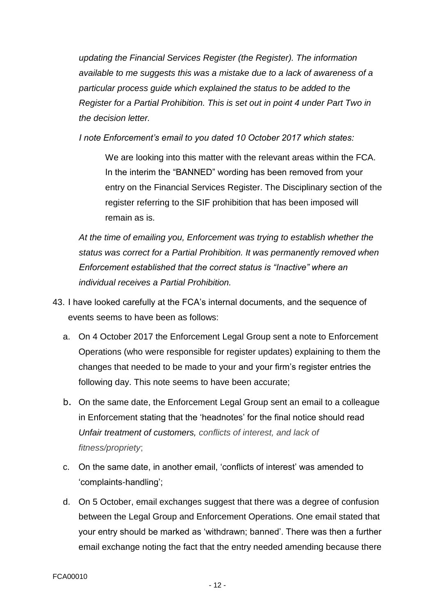*updating the Financial Services Register (the Register). The information available to me suggests this was a mistake due to a lack of awareness of a particular process guide which explained the status to be added to the Register for a Partial Prohibition. This is set out in point 4 under Part Two in the decision letter.* 

*I note Enforcement's email to you dated 10 October 2017 which states:* 

We are looking into this matter with the relevant areas within the FCA. In the interim the "BANNED" wording has been removed from your entry on the Financial Services Register. The Disciplinary section of the register referring to the SIF prohibition that has been imposed will remain as is.

*At the time of emailing you, Enforcement was trying to establish whether the status was correct for a Partial Prohibition. It was permanently removed when Enforcement established that the correct status is "Inactive" where an individual receives a Partial Prohibition.*

- 43. I have looked carefully at the FCA's internal documents, and the sequence of events seems to have been as follows:
	- a. On 4 October 2017 the Enforcement Legal Group sent a note to Enforcement Operations (who were responsible for register updates) explaining to them the changes that needed to be made to your and your firm's register entries the following day. This note seems to have been accurate;
	- b. On the same date, the Enforcement Legal Group sent an email to a colleague in Enforcement stating that the 'headnotes' for the final notice should read *Unfair treatment of customers, conflicts of interest, and lack of fitness/propriety*;
	- c. On the same date, in another email, 'conflicts of interest' was amended to 'complaints-handling';
	- d. On 5 October, email exchanges suggest that there was a degree of confusion between the Legal Group and Enforcement Operations. One email stated that your entry should be marked as 'withdrawn; banned'. There was then a further email exchange noting the fact that the entry needed amending because there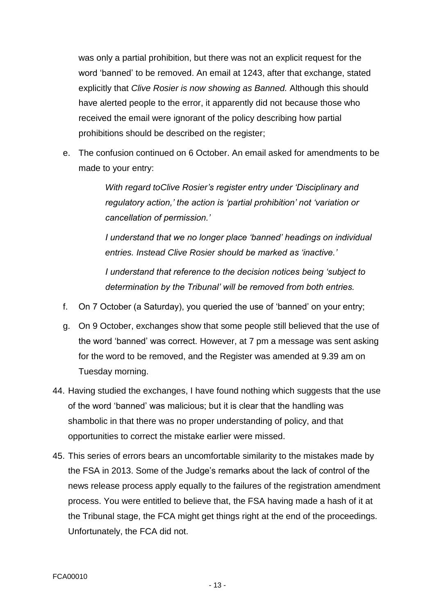was only a partial prohibition, but there was not an explicit request for the word 'banned' to be removed. An email at 1243, after that exchange, stated explicitly that *Clive Rosier is now showing as Banned.* Although this should have alerted people to the error, it apparently did not because those who received the email were ignorant of the policy describing how partial prohibitions should be described on the register;

e. The confusion continued on 6 October. An email asked for amendments to be made to your entry:

> *With regard toClive Rosier's register entry under 'Disciplinary and regulatory action,' the action is 'partial prohibition' not 'variation or cancellation of permission.'*

*I understand that we no longer place 'banned' headings on individual entries. Instead Clive Rosier should be marked as 'inactive.'* 

*I understand that reference to the decision notices being 'subject to determination by the Tribunal' will be removed from both entries.* 

- f. On 7 October (a Saturday), you queried the use of 'banned' on your entry;
- g. On 9 October, exchanges show that some people still believed that the use of the word 'banned' was correct. However, at 7 pm a message was sent asking for the word to be removed, and the Register was amended at 9.39 am on Tuesday morning.
- 44. Having studied the exchanges, I have found nothing which suggests that the use of the word 'banned' was malicious; but it is clear that the handling was shambolic in that there was no proper understanding of policy, and that opportunities to correct the mistake earlier were missed.
- 45. This series of errors bears an uncomfortable similarity to the mistakes made by the FSA in 2013. Some of the Judge's remarks about the lack of control of the news release process apply equally to the failures of the registration amendment process. You were entitled to believe that, the FSA having made a hash of it at the Tribunal stage, the FCA might get things right at the end of the proceedings. Unfortunately, the FCA did not.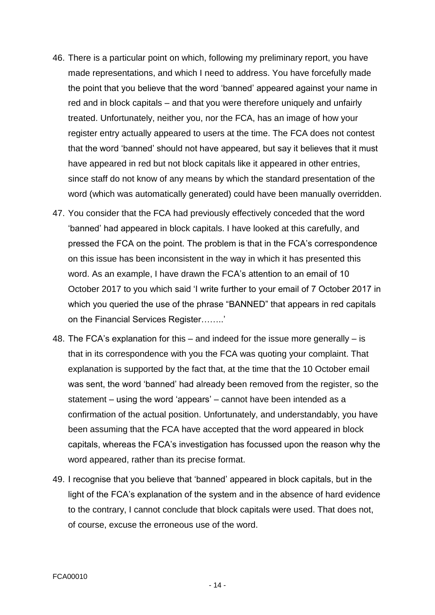- 46. There is a particular point on which, following my preliminary report, you have made representations, and which I need to address. You have forcefully made the point that you believe that the word 'banned' appeared against your name in red and in block capitals – and that you were therefore uniquely and unfairly treated. Unfortunately, neither you, nor the FCA, has an image of how your register entry actually appeared to users at the time. The FCA does not contest that the word 'banned' should not have appeared, but say it believes that it must have appeared in red but not block capitals like it appeared in other entries, since staff do not know of any means by which the standard presentation of the word (which was automatically generated) could have been manually overridden.
- 47. You consider that the FCA had previously effectively conceded that the word 'banned' had appeared in block capitals. I have looked at this carefully, and pressed the FCA on the point. The problem is that in the FCA's correspondence on this issue has been inconsistent in the way in which it has presented this word. As an example, I have drawn the FCA's attention to an email of 10 October 2017 to you which said 'I write further to your email of 7 October 2017 in which you queried the use of the phrase "BANNED" that appears in red capitals on the Financial Services Register……..'
- 48. The FCA's explanation for this and indeed for the issue more generally is that in its correspondence with you the FCA was quoting your complaint. That explanation is supported by the fact that, at the time that the 10 October email was sent, the word 'banned' had already been removed from the register, so the statement – using the word 'appears' – cannot have been intended as a confirmation of the actual position. Unfortunately, and understandably, you have been assuming that the FCA have accepted that the word appeared in block capitals, whereas the FCA's investigation has focussed upon the reason why the word appeared, rather than its precise format.
- 49. I recognise that you believe that 'banned' appeared in block capitals, but in the light of the FCA's explanation of the system and in the absence of hard evidence to the contrary, I cannot conclude that block capitals were used. That does not, of course, excuse the erroneous use of the word.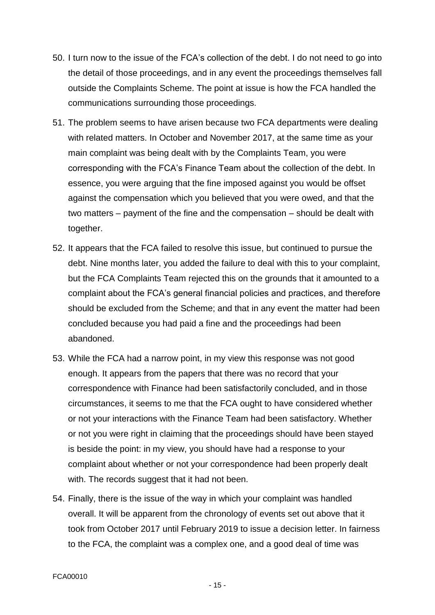- 50. I turn now to the issue of the FCA's collection of the debt. I do not need to go into the detail of those proceedings, and in any event the proceedings themselves fall outside the Complaints Scheme. The point at issue is how the FCA handled the communications surrounding those proceedings.
- 51. The problem seems to have arisen because two FCA departments were dealing with related matters. In October and November 2017, at the same time as your main complaint was being dealt with by the Complaints Team, you were corresponding with the FCA's Finance Team about the collection of the debt. In essence, you were arguing that the fine imposed against you would be offset against the compensation which you believed that you were owed, and that the two matters – payment of the fine and the compensation – should be dealt with together.
- 52. It appears that the FCA failed to resolve this issue, but continued to pursue the debt. Nine months later, you added the failure to deal with this to your complaint, but the FCA Complaints Team rejected this on the grounds that it amounted to a complaint about the FCA's general financial policies and practices, and therefore should be excluded from the Scheme; and that in any event the matter had been concluded because you had paid a fine and the proceedings had been abandoned.
- 53. While the FCA had a narrow point, in my view this response was not good enough. It appears from the papers that there was no record that your correspondence with Finance had been satisfactorily concluded, and in those circumstances, it seems to me that the FCA ought to have considered whether or not your interactions with the Finance Team had been satisfactory. Whether or not you were right in claiming that the proceedings should have been stayed is beside the point: in my view, you should have had a response to your complaint about whether or not your correspondence had been properly dealt with. The records suggest that it had not been.
- 54. Finally, there is the issue of the way in which your complaint was handled overall. It will be apparent from the chronology of events set out above that it took from October 2017 until February 2019 to issue a decision letter. In fairness to the FCA, the complaint was a complex one, and a good deal of time was

- 15 -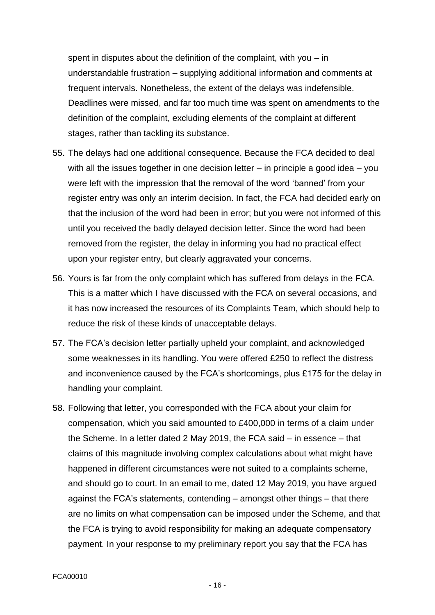spent in disputes about the definition of the complaint, with you – in understandable frustration – supplying additional information and comments at frequent intervals. Nonetheless, the extent of the delays was indefensible. Deadlines were missed, and far too much time was spent on amendments to the definition of the complaint, excluding elements of the complaint at different stages, rather than tackling its substance.

- 55. The delays had one additional consequence. Because the FCA decided to deal with all the issues together in one decision letter – in principle a good idea – you were left with the impression that the removal of the word 'banned' from your register entry was only an interim decision. In fact, the FCA had decided early on that the inclusion of the word had been in error; but you were not informed of this until you received the badly delayed decision letter. Since the word had been removed from the register, the delay in informing you had no practical effect upon your register entry, but clearly aggravated your concerns.
- 56. Yours is far from the only complaint which has suffered from delays in the FCA. This is a matter which I have discussed with the FCA on several occasions, and it has now increased the resources of its Complaints Team, which should help to reduce the risk of these kinds of unacceptable delays.
- 57. The FCA's decision letter partially upheld your complaint, and acknowledged some weaknesses in its handling. You were offered £250 to reflect the distress and inconvenience caused by the FCA's shortcomings, plus £175 for the delay in handling your complaint.
- 58. Following that letter, you corresponded with the FCA about your claim for compensation, which you said amounted to £400,000 in terms of a claim under the Scheme. In a letter dated 2 May 2019, the FCA said – in essence – that claims of this magnitude involving complex calculations about what might have happened in different circumstances were not suited to a complaints scheme, and should go to court. In an email to me, dated 12 May 2019, you have argued against the FCA's statements, contending – amongst other things – that there are no limits on what compensation can be imposed under the Scheme, and that the FCA is trying to avoid responsibility for making an adequate compensatory payment. In your response to my preliminary report you say that the FCA has

- 16 -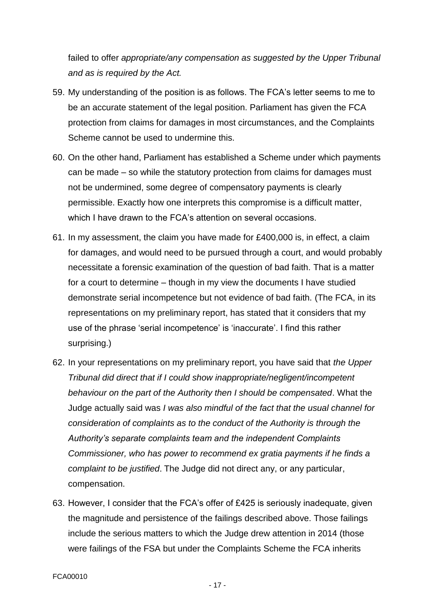failed to offer *appropriate/any compensation as suggested by the Upper Tribunal and as is required by the Act.*

- 59. My understanding of the position is as follows. The FCA's letter seems to me to be an accurate statement of the legal position. Parliament has given the FCA protection from claims for damages in most circumstances, and the Complaints Scheme cannot be used to undermine this.
- 60. On the other hand, Parliament has established a Scheme under which payments can be made – so while the statutory protection from claims for damages must not be undermined, some degree of compensatory payments is clearly permissible. Exactly how one interprets this compromise is a difficult matter, which I have drawn to the FCA's attention on several occasions.
- 61. In my assessment, the claim you have made for £400,000 is, in effect, a claim for damages, and would need to be pursued through a court, and would probably necessitate a forensic examination of the question of bad faith. That is a matter for a court to determine – though in my view the documents I have studied demonstrate serial incompetence but not evidence of bad faith. (The FCA, in its representations on my preliminary report, has stated that it considers that my use of the phrase 'serial incompetence' is 'inaccurate'. I find this rather surprising.)
- 62. In your representations on my preliminary report, you have said that *the Upper Tribunal did direct that if I could show inappropriate/negligent/incompetent behaviour on the part of the Authority then I should be compensated*. What the Judge actually said was *I was also mindful of the fact that the usual channel for consideration of complaints as to the conduct of the Authority is through the Authority's separate complaints team and the independent Complaints Commissioner, who has power to recommend ex gratia payments if he finds a complaint to be justified*. The Judge did not direct any, or any particular, compensation.
- 63. However, I consider that the FCA's offer of £425 is seriously inadequate, given the magnitude and persistence of the failings described above. Those failings include the serious matters to which the Judge drew attention in 2014 (those were failings of the FSA but under the Complaints Scheme the FCA inherits

- 17 -